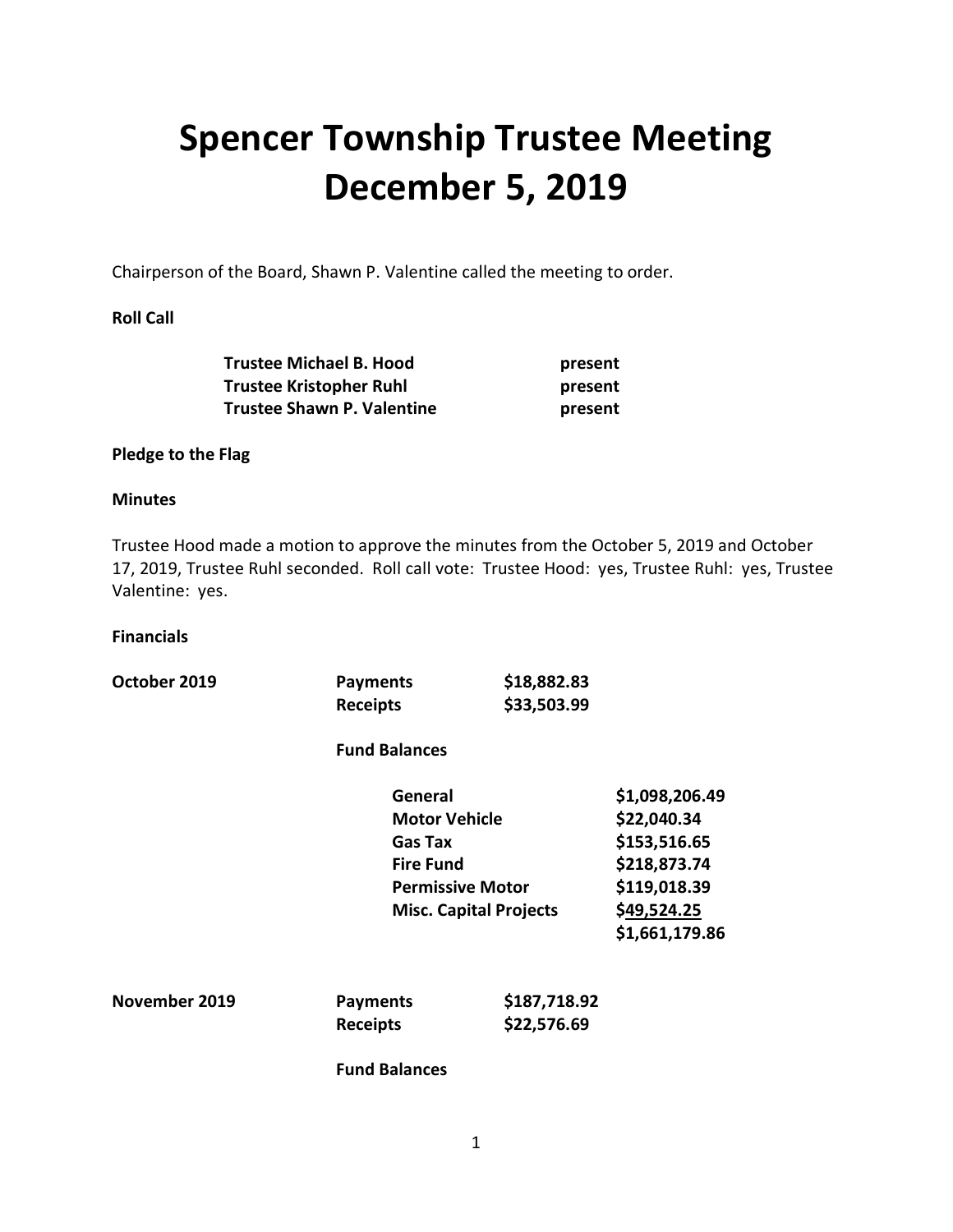# **Spencer Township Trustee Meeting December 5, 2019**

Chairperson of the Board, Shawn P. Valentine called the meeting to order.

## **Roll Call**

| <b>Trustee Michael B. Hood</b> | present |
|--------------------------------|---------|
| <b>Trustee Kristopher Ruhl</b> | present |
| Trustee Shawn P. Valentine     | present |

## **Pledge to the Flag**

## **Minutes**

Trustee Hood made a motion to approve the minutes from the October 5, 2019 and October 17, 2019, Trustee Ruhl seconded. Roll call vote: Trustee Hood: yes, Trustee Ruhl: yes, Trustee Valentine: yes.

#### **Financials**

| October 2019 | <b>Payments</b><br><b>Receipts</b>                                                                                                | \$18,882.83<br>\$33,503.99 |                                                                                              |               |                 |              |                |
|--------------|-----------------------------------------------------------------------------------------------------------------------------------|----------------------------|----------------------------------------------------------------------------------------------|---------------|-----------------|--------------|----------------|
|              | <b>Fund Balances</b>                                                                                                              |                            |                                                                                              |               |                 |              |                |
|              | General<br><b>Motor Vehicle</b><br><b>Gas Tax</b><br><b>Fire Fund</b><br><b>Permissive Motor</b><br><b>Misc. Capital Projects</b> |                            | \$1,098,206.49<br>\$22,040.34<br>\$153,516.65<br>\$218,873.74<br>\$119,018.39<br>\$49,524.25 |               |                 |              |                |
|              |                                                                                                                                   |                            |                                                                                              |               |                 |              |                |
|              |                                                                                                                                   |                            |                                                                                              |               |                 |              |                |
|              |                                                                                                                                   |                            |                                                                                              |               |                 |              | \$1,661,179.86 |
|              |                                                                                                                                   |                            |                                                                                              | November 2019 | <b>Payments</b> | \$187,718.92 |                |
|              |                                                                                                                                   |                            |                                                                                              |               | <b>Receipts</b> | \$22,576.69  |                |
|              | <b>Fund Balances</b>                                                                                                              |                            |                                                                                              |               |                 |              |                |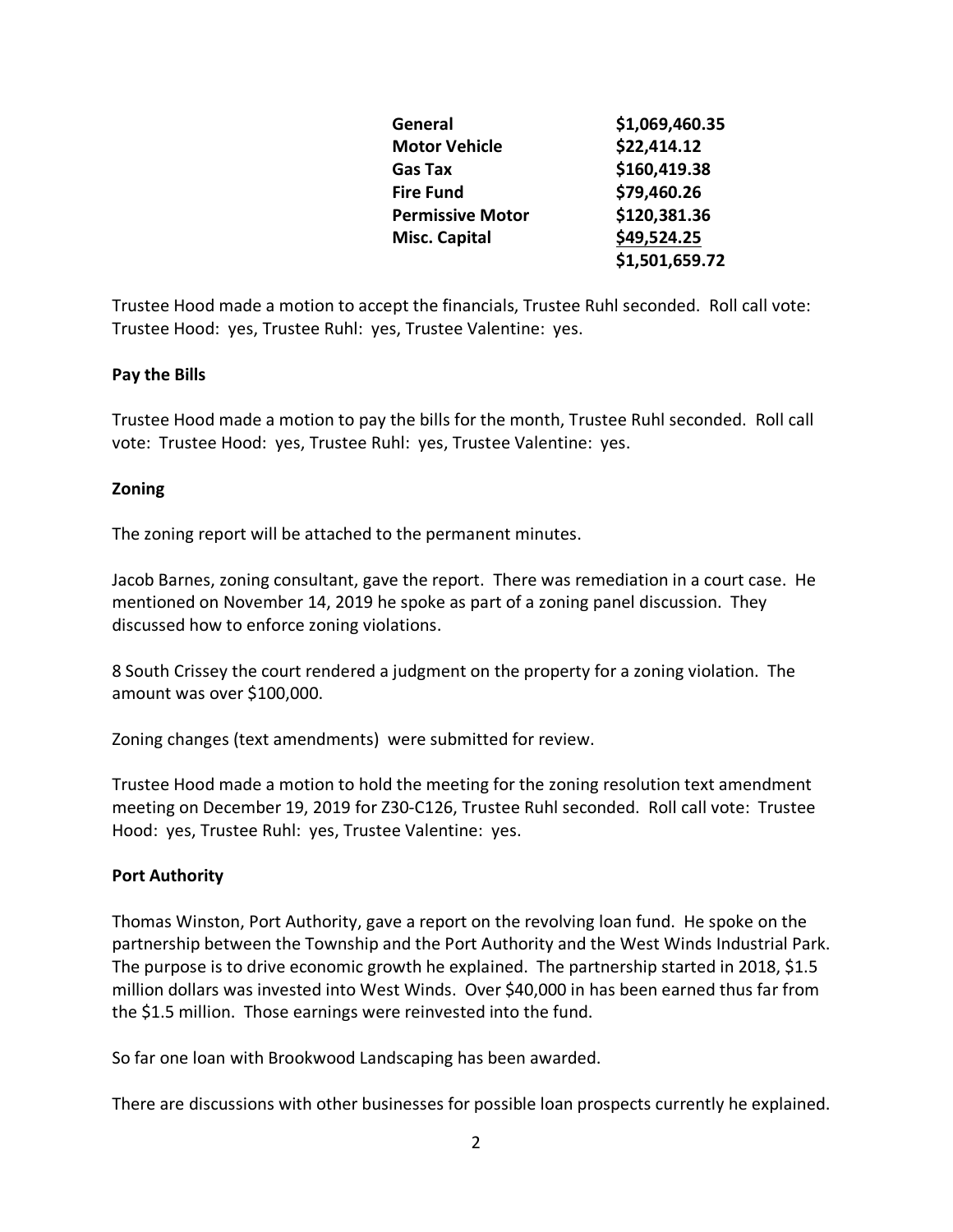| General                 | \$1,069,460.35 |
|-------------------------|----------------|
| <b>Motor Vehicle</b>    | \$22,414.12    |
| Gas Tax                 | \$160,419.38   |
| <b>Fire Fund</b>        | \$79,460.26    |
| <b>Permissive Motor</b> | \$120,381.36   |
| <b>Misc. Capital</b>    | \$49,524.25    |
|                         | \$1,501,659.72 |

Trustee Hood made a motion to accept the financials, Trustee Ruhl seconded. Roll call vote: Trustee Hood: yes, Trustee Ruhl: yes, Trustee Valentine: yes.

## **Pay the Bills**

Trustee Hood made a motion to pay the bills for the month, Trustee Ruhl seconded. Roll call vote: Trustee Hood: yes, Trustee Ruhl: yes, Trustee Valentine: yes.

#### **Zoning**

The zoning report will be attached to the permanent minutes.

Jacob Barnes, zoning consultant, gave the report. There was remediation in a court case. He mentioned on November 14, 2019 he spoke as part of a zoning panel discussion. They discussed how to enforce zoning violations.

8 South Crissey the court rendered a judgment on the property for a zoning violation. The amount was over \$100,000.

Zoning changes (text amendments) were submitted for review.

Trustee Hood made a motion to hold the meeting for the zoning resolution text amendment meeting on December 19, 2019 for Z30-C126, Trustee Ruhl seconded. Roll call vote: Trustee Hood: yes, Trustee Ruhl: yes, Trustee Valentine: yes.

## **Port Authority**

Thomas Winston, Port Authority, gave a report on the revolving loan fund. He spoke on the partnership between the Township and the Port Authority and the West Winds Industrial Park. The purpose is to drive economic growth he explained. The partnership started in 2018, \$1.5 million dollars was invested into West Winds. Over \$40,000 in has been earned thus far from the \$1.5 million. Those earnings were reinvested into the fund.

So far one loan with Brookwood Landscaping has been awarded.

There are discussions with other businesses for possible loan prospects currently he explained.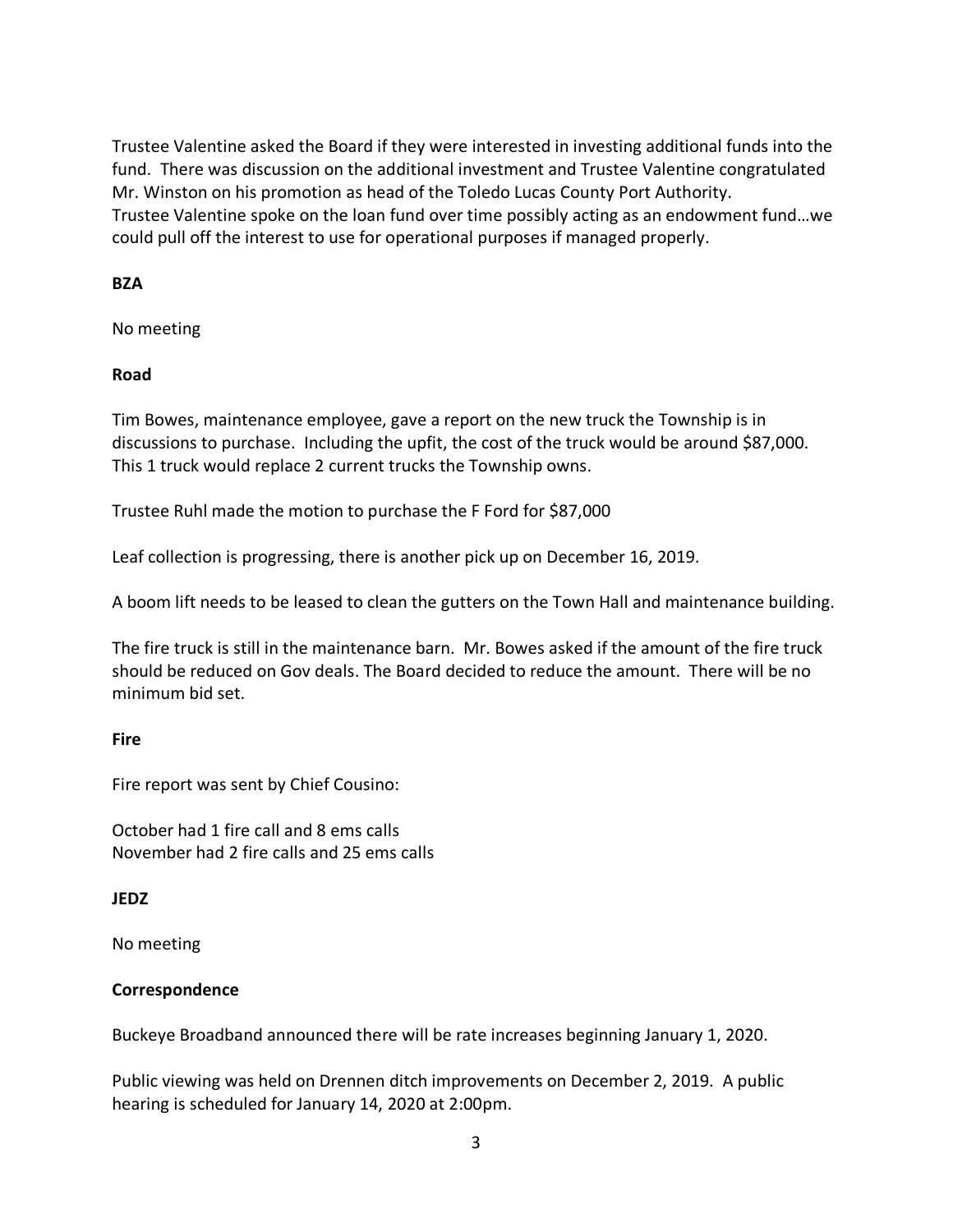Trustee Valentine asked the Board if they were interested in investing additional funds into the fund. There was discussion on the additional investment and Trustee Valentine congratulated Mr. Winston on his promotion as head of the Toledo Lucas County Port Authority. Trustee Valentine spoke on the loan fund over time possibly acting as an endowment fund…we could pull off the interest to use for operational purposes if managed properly.

## **BZA**

No meeting

## **Road**

Tim Bowes, maintenance employee, gave a report on the new truck the Township is in discussions to purchase. Including the upfit, the cost of the truck would be around \$87,000. This 1 truck would replace 2 current trucks the Township owns.

Trustee Ruhl made the motion to purchase the F Ford for \$87,000

Leaf collection is progressing, there is another pick up on December 16, 2019.

A boom lift needs to be leased to clean the gutters on the Town Hall and maintenance building.

The fire truck is still in the maintenance barn. Mr. Bowes asked if the amount of the fire truck should be reduced on Gov deals. The Board decided to reduce the amount. There will be no minimum bid set.

## **Fire**

Fire report was sent by Chief Cousino:

October had 1 fire call and 8 ems calls November had 2 fire calls and 25 ems calls

# **JEDZ**

No meeting

# **Correspondence**

Buckeye Broadband announced there will be rate increases beginning January 1, 2020.

Public viewing was held on Drennen ditch improvements on December 2, 2019. A public hearing is scheduled for January 14, 2020 at 2:00pm.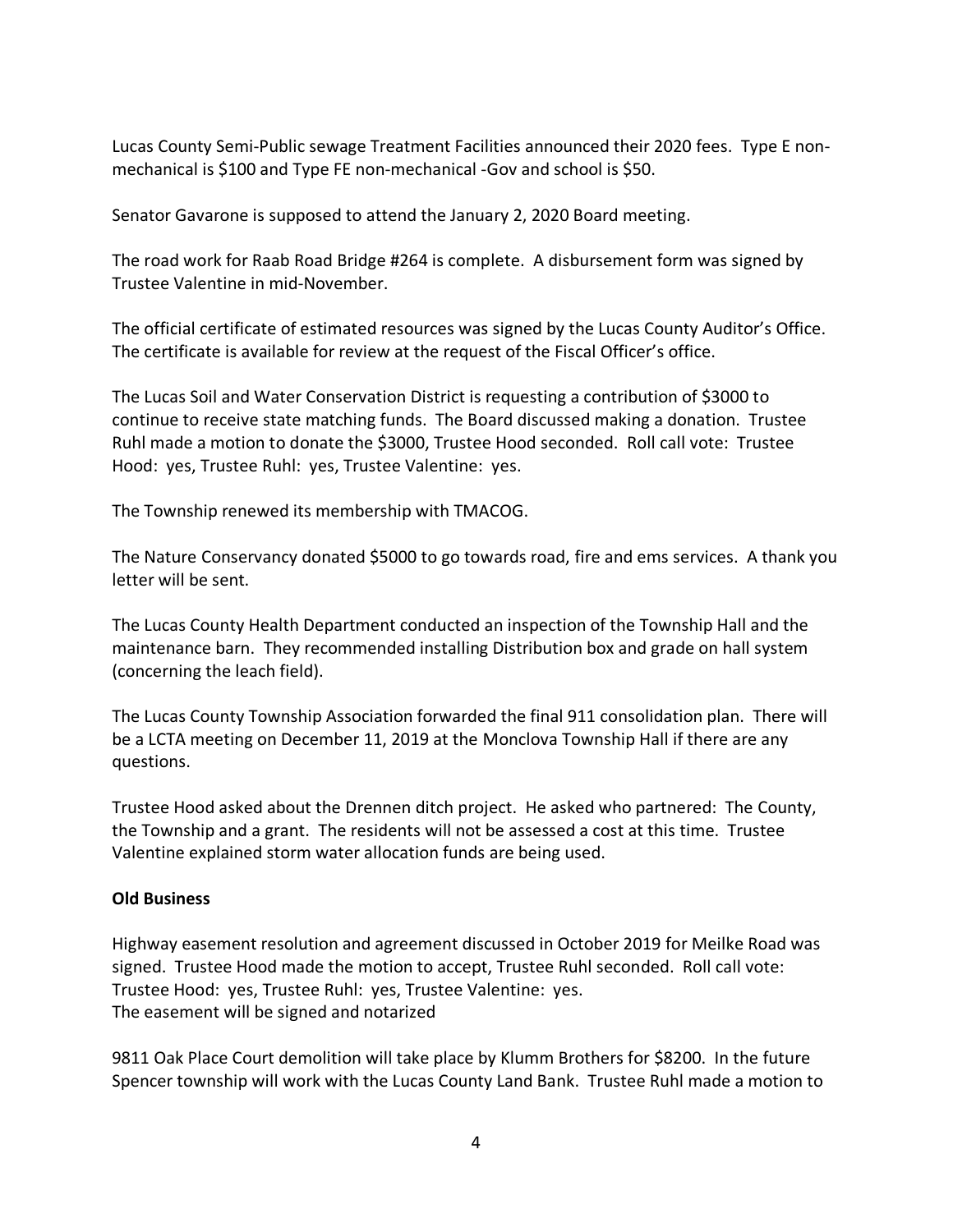Lucas County Semi-Public sewage Treatment Facilities announced their 2020 fees. Type E nonmechanical is \$100 and Type FE non-mechanical -Gov and school is \$50.

Senator Gavarone is supposed to attend the January 2, 2020 Board meeting.

The road work for Raab Road Bridge #264 is complete. A disbursement form was signed by Trustee Valentine in mid-November.

The official certificate of estimated resources was signed by the Lucas County Auditor's Office. The certificate is available for review at the request of the Fiscal Officer's office.

The Lucas Soil and Water Conservation District is requesting a contribution of \$3000 to continue to receive state matching funds. The Board discussed making a donation. Trustee Ruhl made a motion to donate the \$3000, Trustee Hood seconded. Roll call vote: Trustee Hood: yes, Trustee Ruhl: yes, Trustee Valentine: yes.

The Township renewed its membership with TMACOG.

The Nature Conservancy donated \$5000 to go towards road, fire and ems services. A thank you letter will be sent.

The Lucas County Health Department conducted an inspection of the Township Hall and the maintenance barn. They recommended installing Distribution box and grade on hall system (concerning the leach field).

The Lucas County Township Association forwarded the final 911 consolidation plan. There will be a LCTA meeting on December 11, 2019 at the Monclova Township Hall if there are any questions.

Trustee Hood asked about the Drennen ditch project. He asked who partnered: The County, the Township and a grant. The residents will not be assessed a cost at this time. Trustee Valentine explained storm water allocation funds are being used.

## **Old Business**

Highway easement resolution and agreement discussed in October 2019 for Meilke Road was signed. Trustee Hood made the motion to accept, Trustee Ruhl seconded. Roll call vote: Trustee Hood: yes, Trustee Ruhl: yes, Trustee Valentine: yes. The easement will be signed and notarized

9811 Oak Place Court demolition will take place by Klumm Brothers for \$8200. In the future Spencer township will work with the Lucas County Land Bank. Trustee Ruhl made a motion to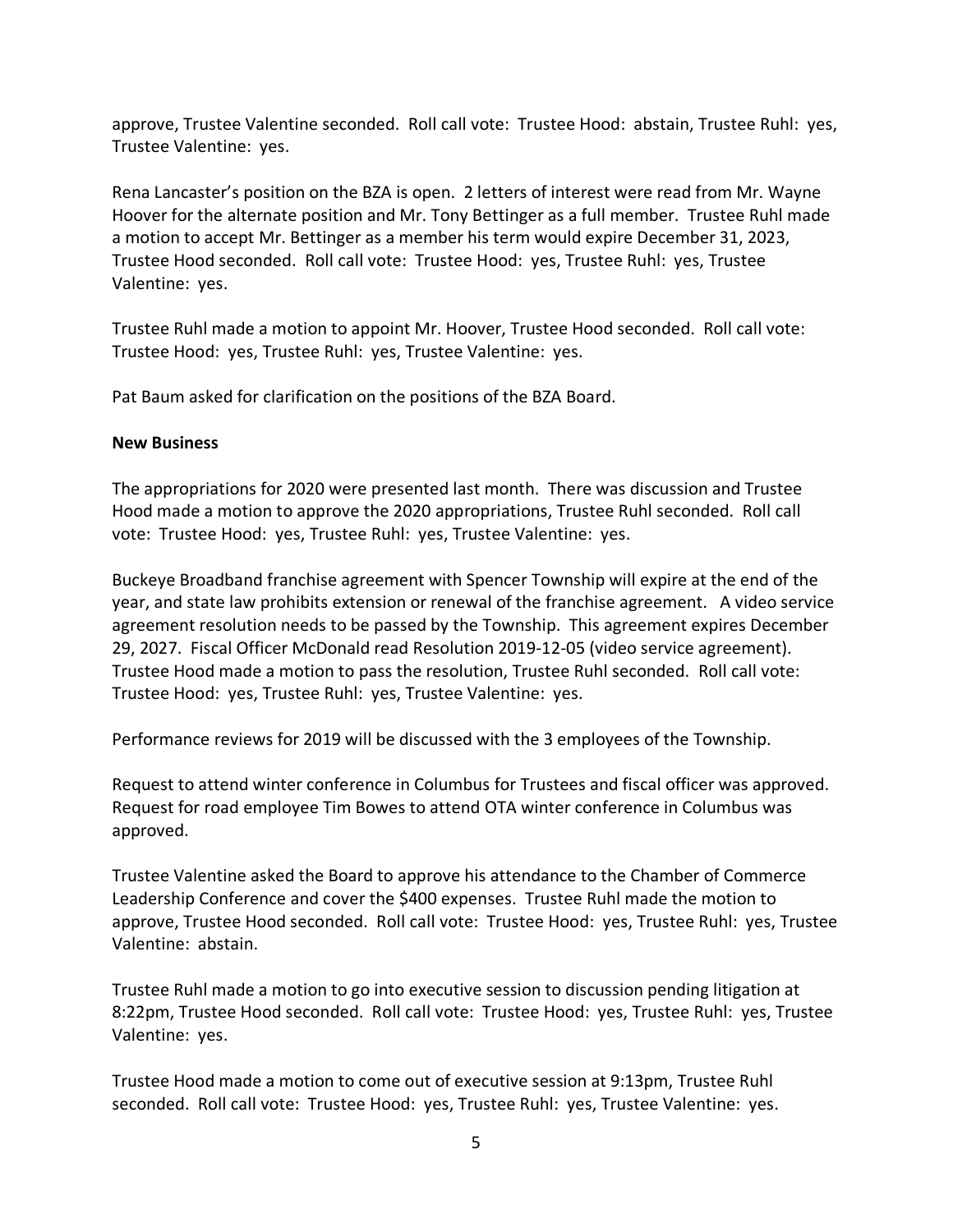approve, Trustee Valentine seconded. Roll call vote: Trustee Hood: abstain, Trustee Ruhl: yes, Trustee Valentine: yes.

Rena Lancaster's position on the BZA is open. 2 letters of interest were read from Mr. Wayne Hoover for the alternate position and Mr. Tony Bettinger as a full member. Trustee Ruhl made a motion to accept Mr. Bettinger as a member his term would expire December 31, 2023, Trustee Hood seconded. Roll call vote: Trustee Hood: yes, Trustee Ruhl: yes, Trustee Valentine: yes.

Trustee Ruhl made a motion to appoint Mr. Hoover, Trustee Hood seconded. Roll call vote: Trustee Hood: yes, Trustee Ruhl: yes, Trustee Valentine: yes.

Pat Baum asked for clarification on the positions of the BZA Board.

#### **New Business**

The appropriations for 2020 were presented last month. There was discussion and Trustee Hood made a motion to approve the 2020 appropriations, Trustee Ruhl seconded. Roll call vote: Trustee Hood: yes, Trustee Ruhl: yes, Trustee Valentine: yes.

Buckeye Broadband franchise agreement with Spencer Township will expire at the end of the year, and state law prohibits extension or renewal of the franchise agreement. A video service agreement resolution needs to be passed by the Township. This agreement expires December 29, 2027. Fiscal Officer McDonald read Resolution 2019-12-05 (video service agreement). Trustee Hood made a motion to pass the resolution, Trustee Ruhl seconded. Roll call vote: Trustee Hood: yes, Trustee Ruhl: yes, Trustee Valentine: yes.

Performance reviews for 2019 will be discussed with the 3 employees of the Township.

Request to attend winter conference in Columbus for Trustees and fiscal officer was approved. Request for road employee Tim Bowes to attend OTA winter conference in Columbus was approved.

Trustee Valentine asked the Board to approve his attendance to the Chamber of Commerce Leadership Conference and cover the \$400 expenses. Trustee Ruhl made the motion to approve, Trustee Hood seconded. Roll call vote: Trustee Hood: yes, Trustee Ruhl: yes, Trustee Valentine: abstain.

Trustee Ruhl made a motion to go into executive session to discussion pending litigation at 8:22pm, Trustee Hood seconded. Roll call vote: Trustee Hood: yes, Trustee Ruhl: yes, Trustee Valentine: yes.

Trustee Hood made a motion to come out of executive session at 9:13pm, Trustee Ruhl seconded. Roll call vote: Trustee Hood: yes, Trustee Ruhl: yes, Trustee Valentine: yes.